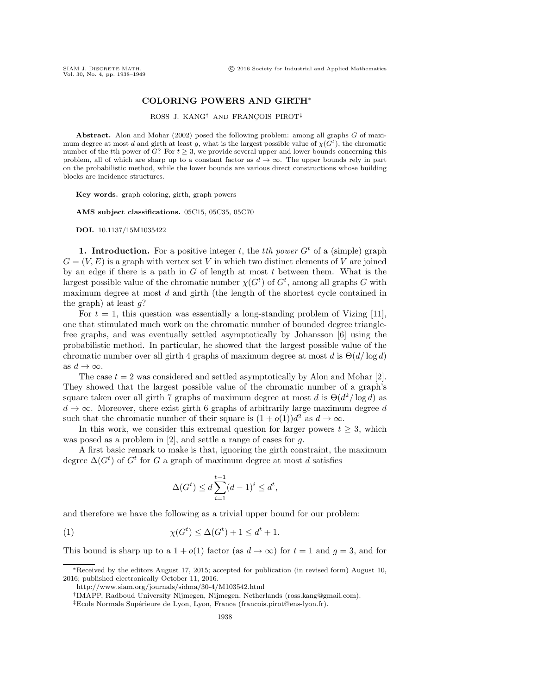## **COLORING POWERS AND GIRTH**∗

ROSS J. KANG<sup>†</sup> AND FRANCOIS PIROT<sup>‡</sup>

**Abstract.** Alon and Mohar (2002) posed the following problem: among all graphs G of maximum degree at most d and girth at least q, what is the largest possible value of  $\chi(G^t)$ , the chromatic number of the tth power of G? For  $t \geq 3$ , we provide several upper and lower bounds concerning this problem, all of which are sharp up to a constant factor as  $d \to \infty$ . The upper bounds rely in part on the probabilistic method, while the lower bounds are various direct constructions whose building blocks are incidence structures.

**Key words.** graph coloring, girth, graph powers

**AMS subject classifications.** 05C15, 05C35, 05C70

**DOI.** 10.1137/15M1035422

**1. Introduction.** For a positive integer t, the the power  $G^t$  of a (simple) graph  $G = (V, E)$  is a graph with vertex set V in which two distinct elements of V are joined by an edge if there is a path in  $G$  of length at most  $t$  between them. What is the largest possible value of the chromatic number  $\chi(G^t)$  of  $G^t$ , among all graphs G with maximum degree at most d and girth (the length of the shortest cycle contained in the graph) at least  $q$ ?

For  $t = 1$ , this question was essentially a long-standing problem of Vizing [\[11\]](#page-11-0), one that stimulated much work on the chromatic number of bounded degree trianglefree graphs, and was eventually settled asymptotically by Johansson [\[6\]](#page-11-1) using the probabilistic method. In particular, he showed that the largest possible value of the chromatic number over all girth 4 graphs of maximum degree at most d is  $\Theta(d/\log d)$ as  $d \to \infty$ .

The case  $t = 2$  was considered and settled asymptotically by Alon and Mohar [\[2\]](#page-11-2). They showed that the largest possible value of the chromatic number of a graph's square taken over all girth 7 graphs of maximum degree at most d is  $\Theta(d^2/\log d)$  as  $d \rightarrow \infty$ . Moreover, there exist girth 6 graphs of arbitrarily large maximum degree d such that the chromatic number of their square is  $(1 + o(1))d^2$  as  $d \rightarrow \infty$ .

In this work, we consider this extremal question for larger powers  $t \geq 3$ , which was posed as a problem in [\[2\]](#page-11-2), and settle a range of cases for q.

A first basic remark to make is that, ignoring the girth constraint, the maximum degree  $\Delta(G^t)$  of  $G^t$  for G a graph of maximum degree at most d satisfies

$$
\Delta(G^t) \le d \sum_{i=1}^{t-1} (d-1)^i \le d^t,
$$

and therefore we have the following as a trivial upper bound for our problem:

<span id="page-0-0"></span>(1)  $\chi(G^t) \leq \Delta(G^t) + 1 \leq d^t + 1.$ 

This bound is sharp up to a  $1 + o(1)$  factor (as  $d \to \infty$ ) for  $t = 1$  and  $q = 3$ , and for

<sup>∗</sup>Received by the editors August 17, 2015; accepted for publication (in revised form) August 10, 2016; published electronically October 11, 2016.

<http://www.siam.org/journals/sidma/30-4/M103542.html>

<sup>†</sup>IMAPP, Radboud University Nijmegen, Nijmegen, Netherlands [\(ross.kang@gmail.com\)](mailto:ross.kang@gmail.com).

<sup>&</sup>lt;sup>‡</sup>Ecole Normale Supérieure de Lyon, Lyon, France [\(francois.pirot@ens-lyon.fr\)](mailto:francois.pirot@ens-lyon.fr).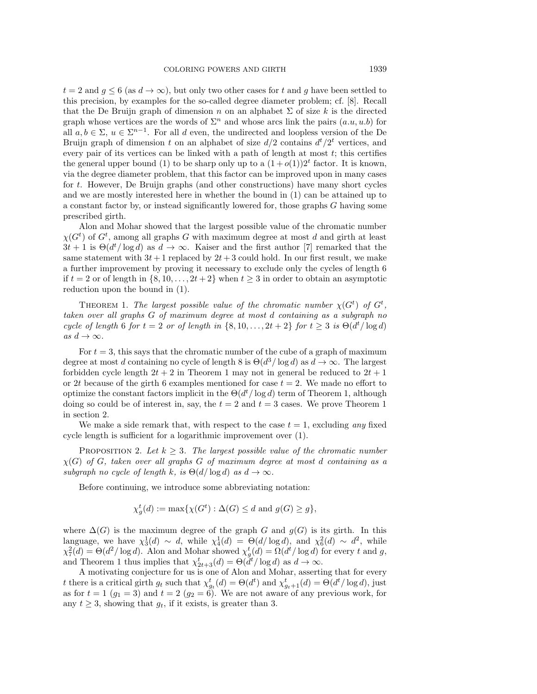$t = 2$  and  $g \le 6$  (as  $d \to \infty$ ), but only two other cases for t and g have been settled to this precision, by examples for the so-called degree diameter problem; cf. [\[8\]](#page-11-3). Recall that the De Bruijn graph of dimension n on an alphabet  $\Sigma$  of size k is the directed graph whose vertices are the words of  $\Sigma^n$  and whose arcs link the pairs  $(a.u, u.b)$  for all  $a, b \in \Sigma$ ,  $u \in \Sigma^{n-1}$ . For all d even, the undirected and loopless version of the De Bruijn graph of dimension t on an alphabet of size  $d/2$  contains  $d^t/2^t$  vertices, and every pair of its vertices can be linked with a path of length at most  $t$ ; this certifies the general upper bound [\(1\)](#page-0-0) to be sharp only up to a  $(1+o(1))2^t$  factor. It is known, via the degree diameter problem, that this factor can be improved upon in many cases for t. However, De Bruijn graphs (and other constructions) have many short cycles and we are mostly interested here in whether the bound in [\(1\)](#page-0-0) can be attained up to a constant factor by, or instead significantly lowered for, those graphs G having some prescribed girth.

Alon and Mohar showed that the largest possible value of the chromatic number  $\chi(G^t)$  of  $G^t$ , among all graphs G with maximum degree at most d and girth at least  $3t + 1$  is  $\Theta(d^t/\log d)$  as  $d \to \infty$ . Kaiser and the first author [\[7\]](#page-11-4) remarked that the same statement with  $3t + 1$  replaced by  $2t + 3$  could hold. In our first result, we make a further improvement by proving it necessary to exclude only the cycles of length 6 if  $t = 2$  or of length in  $\{8, 10, \ldots, 2t + 2\}$  when  $t \geq 3$  in order to obtain an asymptotic reduction upon the bound in [\(1\)](#page-0-0).

<span id="page-1-0"></span>THEOREM 1. *The largest possible value of the chromatic number*  $\chi(G^t)$  of  $G^t$ , *taken over all graphs* G *of maximum degree at most* d *containing as a subgraph no cycle of length* 6 *for*  $t = 2$  *or of length in*  $\{8, 10, \ldots, 2t + 2\}$  *for*  $t \geq 3$  *is*  $\Theta(d^t / \log d)$  $as\ d \to \infty$ .

For  $t = 3$ , this says that the chromatic number of the cube of a graph of maximum degree at most d containing no cycle of length 8 is  $\Theta(d^3/\log d)$  as  $d \to \infty$ . The largest forbidden cycle length  $2t + 2$  in Theorem [1](#page-1-0) may not in general be reduced to  $2t + 1$ or 2t because of the girth 6 examples mentioned for case  $t = 2$ . We made no effort to optimize the constant factors implicit in the  $\Theta(d^t/\log d)$  term of Theorem [1,](#page-1-0) although doing so could be of interest in, say, the  $t = 2$  and  $t = 3$  cases. We prove Theorem [1](#page-1-0) in section [2.](#page-2-0)

<span id="page-1-1"></span>We make a side remark that, with respect to the case  $t = 1$ , excluding *any* fixed cycle length is sufficient for a logarithmic improvement over [\(1\)](#page-0-0).

PROPOSITION 2. Let  $k \geq 3$ . The largest possible value of the chromatic number χ(G) *of* G*, taken over all graphs* G *of maximum degree at most* d *containing as a subgraph no cycle of length* k*, is*  $\Theta(d/\log d)$  *as*  $d \to \infty$ *.* 

Before continuing, we introduce some abbreviating notation:

$$
\chi_g^t(d) := \max\{\chi(G^t) : \Delta(G) \le d \text{ and } g(G) \ge g\},\
$$

where  $\Delta(G)$  is the maximum degree of the graph G and  $g(G)$  is its girth. In this language, we have  $\chi_3^1(d) \sim d$ , while  $\chi_4^1(d) = \Theta(d/\log d)$ , and  $\chi_6^2(d) \sim d^2$ , while  $\chi^2_7(d) = \Theta(d^2/\log d)$ . Alon and Mohar showed  $\chi^t_g(d) = \Omega(d^t/\log d)$  for every t and g, and Theorem [1](#page-1-0) thus implies that  $\chi^t_{2t+3}(d) = \Theta(d^t/\log d)$  as  $d \to \infty$ .

A motivating conjecture for us is one of Alon and Mohar, asserting that for every t there is a critical girth  $g_t$  such that  $\chi^t_{g_t}(d) = \Theta(d^t)$  and  $\chi^t_{g_t+1}(d) = \Theta(d^t/\log d)$ , just as for  $t = 1$   $(g_1 = 3)$  and  $t = 2(g_2 = 6)$ . We are not aware of any previous work, for any  $t \geq 3$ , showing that  $g_t$ , if it exists, is greater than 3.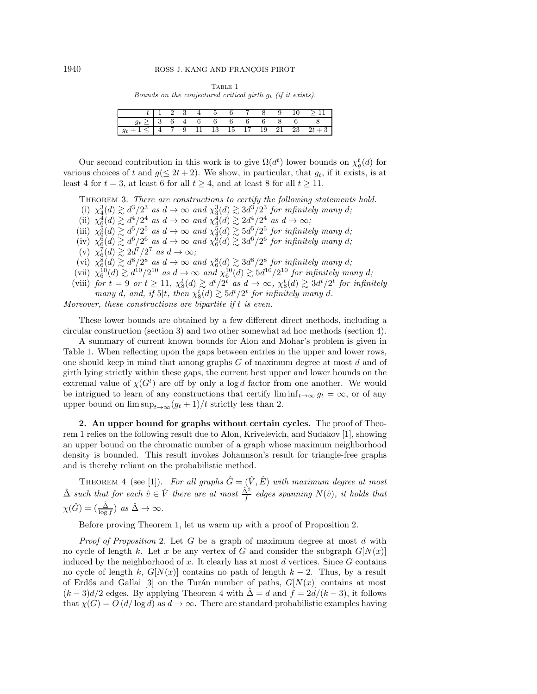Table 1 Bounds on the conjectured critical girth g*<sup>t</sup>* (if it exists).

<span id="page-2-1"></span>

|                                                       |  |  |  |  |  | $t$   1 2 3 4 5 6 7 8 9 10 > 11                                        |
|-------------------------------------------------------|--|--|--|--|--|------------------------------------------------------------------------|
| $g_t \geq  3 \t6 \t4 \t6 \t6 \t6 \t6 \t6 \t8 \t6 \t8$ |  |  |  |  |  |                                                                        |
|                                                       |  |  |  |  |  | $1 \le  4 \t 7 \t 9 \t 11 \t 13 \t 15 \t 17 \t 19 \t 21 \t 23 \t 2t+3$ |

<span id="page-2-3"></span>Our second contribution in this work is to give  $\Omega(d^t)$  lower bounds on  $\chi_g^t(d)$  for various choices of t and  $g(\leq 2t+2)$ . We show, in particular, that  $g_t$ , if it exists, is at least 4 for  $t = 3$ , at least 6 for all  $t \ge 4$ , and at least 8 for all  $t \ge 11$ .

THEOREM 3. *There are constructions to certify the following statements hold.* 

(i)  $\chi_4^3(d) \gtrsim d^3/2^3$  *as*  $d \to \infty$  *and*  $\chi_3^3(d) \gtrsim 3d^3/2^3$  *for infinitely many d*;

- (ii)  $\chi_6^4(d) \gtrsim d^4/2^4$  *as*  $d \to \infty$  *and*  $\chi_4^4(d) \gtrsim 2d^4/2^4$  *as*  $d \to \infty$ ;
- (iii)  $\chi_6^5(d) \gtrsim d^5/2^5$  *as*  $d \to \infty$  *and*  $\chi_4^5(d) \gtrsim 5d^5/2^5$  *for infinitely many d*;
- (iv)  $\chi_6^6(d) \gtrsim d^6/2^6$  *as*  $d \to \infty$  *and*  $\chi_6^6(d) \gtrsim 3d^6/2^6$  *for infinitely many d*;
- (v)  $\chi_6^7(d) \gtrsim 2d^7/2^7$  *as*  $d \to \infty$ ;
- (vi)  $\chi_6^8(d) \gtrsim d^8/2^8$  *as*  $d \to \infty$  *and*  $\chi_6^8(d) \gtrsim 3d^8/2^8$  *for infinitely many d*;
- (vii)  $\chi_6^{10}(d) \gtrsim d^{10}/2^{10}$  *as*  $d \to \infty$  *and*  $\chi_6^{10}(d) \gtrsim 5d^{10}/2^{10}$  *for infinitely many d*;
- (viii) *for*  $t = 9$  *or*  $t \ge 11$ ,  $\chi_8^t(d) \gtrsim d^t/2^t$  *as*  $d \to \infty$ ,  $\chi_8^t(d) \gtrsim 3d^t/2^t$  *for infinitely many* d, and, if  $5|t$ , then  $\chi_8^t(d) \gtrsim 5d^t/2^t$  for infinitely many d.

*Moreover, these constructions are bipartite if* t *is even.*

These lower bounds are obtained by a few different direct methods, including a circular construction (section [3\)](#page-5-0) and two other somewhat ad hoc methods (section [4\)](#page-9-0).

A summary of current known bounds for Alon and Mohar's problem is given in Table [1.](#page-2-1) When reflecting upon the gaps between entries in the upper and lower rows, one should keep in mind that among graphs  $G$  of maximum degree at most  $d$  and of girth lying strictly within these gaps, the current best upper and lower bounds on the extremal value of  $\chi(G^t)$  are off by only a log d factor from one another. We would be intrigued to learn of any constructions that certify  $\liminf_{t\to\infty} g_t = \infty$ , or of any upper bound on  $\limsup_{t\to\infty} (g_t + 1)/t$  strictly less than 2.

<span id="page-2-0"></span>**2. An upper bound for graphs without certain cycles.** The proof of Theorem [1](#page-1-0) relies on the following result due to Alon, Krivelevich, and Sudakov [\[1\]](#page-11-5), showing an upper bound on the chromatic number of a graph whose maximum neighborhood density is bounded. This result invokes Johannson's result for triangle-free graphs and is thereby reliant on the probabilistic method.

<span id="page-2-2"></span>THEOREM 4 (see [\[1\]](#page-11-5)). For all graphs  $\hat{G} = (\hat{V}, \hat{E})$  with maximum degree at most  $\hat{\Delta}$  *such that for each*  $\hat{v} \in \hat{V}$  *there are at most*  $\frac{\hat{\Delta}^2}{f}$  *edges spanning*  $N(\hat{v})$ *, it holds that*  $\chi(\hat{G}) = (\frac{\hat{\Delta}}{\log f})$  *as*  $\hat{\Delta} \to \infty$ *.* 

Before proving Theorem [1,](#page-1-0) let us warm up with a proof of Proposition [2.](#page-1-1)

*Proof of Proposition* [2](#page-1-1)*.* Let G be a graph of maximum degree at most d with no cycle of length k. Let x be any vertex of G and consider the subgraph  $G[N(x)]$ induced by the neighborhood of x. It clearly has at most  $d$  vertices. Since  $G$  contains no cycle of length k,  $G[N(x)]$  contains no path of length k – 2. Thus, by a result of Erdős and Gallai [\[3\]](#page-11-6) on the Turán number of paths,  $G[N(x)]$  contains at most  $(k-3)d/2$  edges. By applying Theorem [4](#page-2-2) with  $\hat{\Delta} = d$  and  $f = 2d/(k-3)$ , it follows that  $\chi(G) = O(d/\log d)$  as  $d \to \infty$ . There are standard probabilistic examples having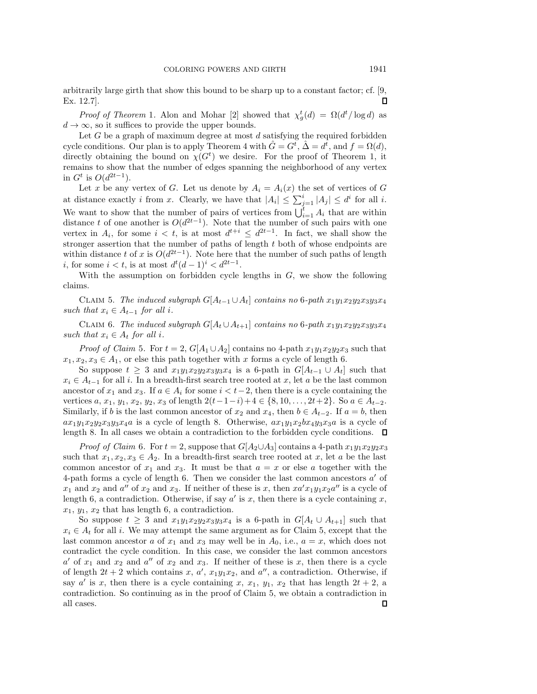arbitrarily large girth that show this bound to be sharp up to a constant factor; cf. [\[9,](#page-11-7)  $\mathsf \Pi$ Ex. 12.7].

*Proof of Theorem* [1](#page-1-0). Alon and Mohar [\[2\]](#page-11-2) showed that  $\chi^t_g(d) = \Omega(d^t/\log d)$  as  $d \to \infty$ , so it suffices to provide the upper bounds.

Let  $G$  be a graph of maximum degree at most  $d$  satisfying the required forbidden cycle conditions. Our plan is to apply Theorem [4](#page-2-2) with  $\hat{G} = G^t$ ,  $\hat{\Delta} = d^t$ , and  $f = \Omega(d)$ , directly obtaining the bound on  $\chi(G^t)$  we desire. For the proof of Theorem [1,](#page-1-0) it remains to show that the number of edges spanning the neighborhood of any vertex in  $G^t$  is  $O(d^{2t-1})$ .

Let x be any vertex of G. Let us denote by  $A_i = A_i(x)$  the set of vertices of G at distance exactly *i* from *x*. Clearly, we have that  $|A_i| \leq \sum_{j=1}^{i} |A_j| \leq d^i$  for all *i*. We want to show that the number of pairs of vertices from  $\bigcup_{i=1}^{t} A_i$  that are within distance t of one another is  $O(d^{2t-1})$ . Note that the number of such pairs with one vertex in  $A_i$ , for some  $i < t$ , is at most  $d^{t+i} \leq d^{2t-1}$ . In fact, we shall show the stronger assertion that the number of paths of length t both of whose endpoints are within distance t of x is  $O(d^{2t-1})$ . Note here that the number of such paths of length i, for some  $i < t$ , is at most  $d^t (d-1)^i < d^{2t-1}$ .

<span id="page-3-0"></span>With the assumption on forbidden cycle lengths in  $G$ , we show the following claims.

CLAIM 5. *The induced subgraph*  $G[A_{t-1} \cup A_t]$  *contains no* 6*-path*  $x_1y_1x_2y_2x_3y_3x_4$ *such that*  $x_i \in A_{t-1}$  *for all i.* 

<span id="page-3-1"></span>CLAIM 6. *The induced subgraph*  $G[A_t \cup A_{t+1}]$  *contains no* 6*-path*  $x_1y_1x_2y_2x_3y_3x_4$ *such that*  $x_i \in A_t$  *for all i.* 

*Proof of Claim [5](#page-3-0).* For  $t = 2$ ,  $G[A_1 \cup A_2]$  contains no 4-path  $x_1y_1x_2y_2x_3$  such that  $x_1, x_2, x_3 \in A_1$ , or else this path together with x forms a cycle of length 6.

So suppose  $t \geq 3$  and  $x_1y_1x_2y_2x_3y_3x_4$  is a 6-path in  $G[A_{t-1} \cup A_t]$  such that  $x_i \in A_{t-1}$  for all i. In a breadth-first search tree rooted at x, let a be the last common ancestor of  $x_1$  and  $x_3$ . If  $a \in A_i$  for some  $i < t-2$ , then there is a cycle containing the vertices  $a, x_1, y_1, x_2, y_2, x_3$  of length  $2(t-1-i)+4 \in \{8, 10, \ldots, 2t+2\}$ . So  $a \in A_{t-2}$ . Similarly, if b is the last common ancestor of  $x_2$  and  $x_4$ , then  $b \in A_{t-2}$ . If  $a = b$ , then  $ax_1y_1x_2y_2x_3y_3x_4a$  is a cycle of length 8. Otherwise,  $ax_1y_1x_2bx_4y_3x_3a$  is a cycle of length 8. In all cases we obtain a contradiction to the forbidden cycle conditions.  $\Box$ 

*Proof of Claim* [6](#page-3-1). For  $t = 2$ , suppose that  $G[A_2 \cup A_3]$  contains a 4-path  $x_1y_1x_2y_2x_3$ such that  $x_1, x_2, x_3 \in A_2$ . In a breadth-first search tree rooted at x, let a be the last common ancestor of  $x_1$  and  $x_3$ . It must be that  $a = x$  or else a together with the 4-path forms a cycle of length 6. Then we consider the last common ancestors  $a'$  of  $x_1$  and  $x_2$  and  $a''$  of  $x_2$  and  $x_3$ . If neither of these is x, then  $xa'x_1y_1x_2a''$  is a cycle of length 6, a contradiction. Otherwise, if say  $a'$  is x, then there is a cycle containing x,  $x_1, y_1, x_2$  that has length 6, a contradiction.

So suppose  $t \geq 3$  and  $x_1y_1x_2y_2x_3y_3x_4$  is a 6-path in  $G[A_t \cup A_{t+1}]$  such that  $x_i \in A_t$  for all i. We may attempt the same argument as for Claim [5,](#page-3-0) except that the last common ancestor a of  $x_1$  and  $x_3$  may well be in  $A_0$ , i.e.,  $a = x$ , which does not contradict the cycle condition. In this case, we consider the last common ancestors  $a'$  of  $x_1$  and  $x_2$  and  $a''$  of  $x_2$  and  $x_3$ . If neither of these is x, then there is a cycle of length  $2t + 2$  which contains x, a',  $x_1y_1x_2$ , and a'', a contradiction. Otherwise, if say a' is x, then there is a cycle containing x,  $x_1$ ,  $y_1$ ,  $x_2$  that has length  $2t + 2$ , a contradiction. So continuing as in the proof of Claim [5,](#page-3-0) we obtain a contradiction in all cases.Л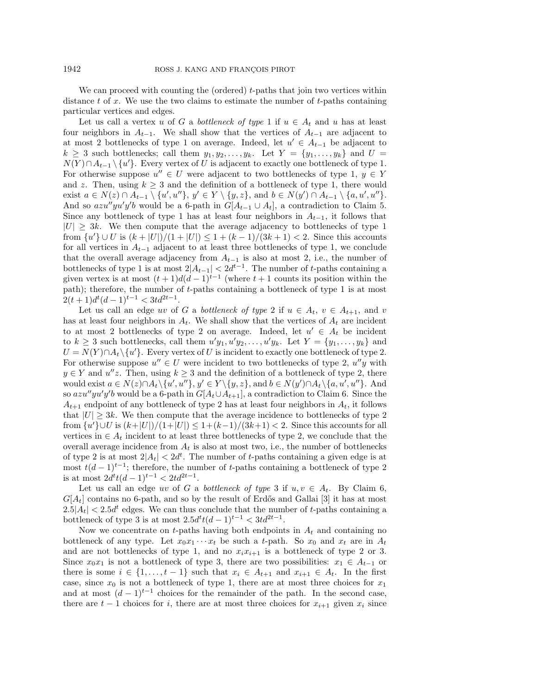We can proceed with counting the (ordered)  $t$ -paths that join two vertices within distance  $t$  of  $x$ . We use the two claims to estimate the number of  $t$ -paths containing particular vertices and edges.

Let us call a vertex u of G a *bottleneck of type* 1 if  $u \in A_t$  and u has at least four neighbors in  $A_{t-1}$ . We shall show that the vertices of  $A_{t-1}$  are adjacent to at most 2 bottlenecks of type 1 on average. Indeed, let  $u' \in A_{t-1}$  be adjacent to  $k \geq 3$  such bottlenecks; call them  $y_1, y_2, \ldots, y_k$ . Let  $Y = \{y_1, \ldots, y_k\}$  and  $U =$  $N(Y) \cap A_{t-1} \setminus \{u'\}$ . Every vertex of U is adjacent to exactly one bottleneck of type 1. For otherwise suppose  $u'' \in U$  were adjacent to two bottlenecks of type 1,  $y \in Y$ and z. Then, using  $k \geq 3$  and the definition of a bottleneck of type 1, there would exist  $a \in N(z) \cap A_{t-1} \setminus \{u', u''\}, y' \in Y \setminus \{y, z\},\$ and  $b \in N(y') \cap A_{t-1} \setminus \{a, u', u''\}.$ And so  $azu''yu'y'b$  would be a 6-path in  $G[A_{t-1} \cup A_t]$ , a contradiction to Claim [5.](#page-3-0) Since any bottleneck of type 1 has at least four neighbors in  $A_{t-1}$ , it follows that  $|U| \geq 3k$ . We then compute that the average adjacency to bottlenecks of type 1 from  $\{u'\}\cup U$  is  $(k+|U|)/(1+|U|) \leq 1+(k-1)/(3k+1) < 2$ . Since this accounts for all vertices in  $A_{t-1}$  adjacent to at least three bottlenecks of type 1, we conclude that the overall average adjacency from  $A_{t-1}$  is also at most 2, i.e., the number of bottlenecks of type 1 is at most  $2|A_{t-1}| < 2d^{t-1}$ . The number of t-paths containing a given vertex is at most  $(t + 1)d(d - 1)^{t-1}$  (where  $t + 1$  counts its position within the path); therefore, the number of t-paths containing a bottleneck of type 1 is at most  $2(t+1)d^{t}(d-1)^{t-1} < 3td^{2t-1}.$ 

Let us call an edge uv of G a *bottleneck of type* 2 if  $u \in A_t$ ,  $v \in A_{t+1}$ , and v has at least four neighbors in  $A_t$ . We shall show that the vertices of  $A_t$  are incident to at most 2 bottlenecks of type 2 on average. Indeed, let  $u' \in A_t$  be incident to  $k \geq 3$  such bottlenecks, call them  $u'y_1, u'y_2, \ldots, u'y_k$ . Let  $Y = \{y_1, \ldots, y_k\}$  and  $U = N(Y) \cap A_t \setminus \{u'\}.$  Every vertex of U is incident to exactly one bottleneck of type 2. For otherwise suppose  $u'' \in U$  were incident to two bottlenecks of type 2,  $u''y$  with  $y \in Y$  and  $u''z$ . Then, using  $k \geq 3$  and the definition of a bottleneck of type 2, there would exist  $a \in N(z) \cap A_t \setminus \{u', u''\}, y' \in Y \setminus \{y, z\}, \text{ and } b \in N(y') \cap A_t \setminus \{a, u', u''\}.$  And so  $azu''yu'y'b$  would be a 6-path in  $G[A_t \cup A_{t+1}]$ , a contradiction to Claim [6.](#page-3-1) Since the  $A_{t+1}$  endpoint of any bottleneck of type 2 has at least four neighbors in  $A_t$ , it follows that  $|U| \geq 3k$ . We then compute that the average incidence to bottlenecks of type 2 from  $\{u'\}\cup U$  is  $(k+|U|)/(1+|U|) \leq 1+(k-1)/(3k+1) < 2$ . Since this accounts for all vertices in  $\in A_t$  incident to at least three bottlenecks of type 2, we conclude that the overall average incidence from  $A_t$  is also at most two, i.e., the number of bottlenecks of type 2 is at most  $2|A_t| < 2d^t$ . The number of t-paths containing a given edge is at most  $t(d-1)^{t-1}$ ; therefore, the number of t-paths containing a bottleneck of type 2 is at most  $2d^{t}t(d-1)^{t-1} < 2td^{2t-1}$ .

Let us call an edge uv of G a *bottleneck of type* 3 if  $u, v \in A_t$ . By Claim [6,](#page-3-1)  $G[A_t]$  contains no 6-path, and so by the result of Erdős and Gallai [\[3\]](#page-11-6) it has at most  $2.5|A_t| < 2.5d^t$  edges. We can thus conclude that the number of t-paths containing a bottleneck of type 3 is at most  $2.5d^{t}t(d-1)^{t-1} < 3td^{2t-1}$ .

Now we concentrate on t-paths having both endpoints in  $A_t$  and containing no bottleneck of any type. Let  $x_0x_1 \cdots x_t$  be such a t-path. So  $x_0$  and  $x_t$  are in  $A_t$ and are not bottlenecks of type 1, and no  $x_i x_{i+1}$  is a bottleneck of type 2 or 3. Since  $x_0x_1$  is not a bottleneck of type 3, there are two possibilities:  $x_1 \in A_{t-1}$  or there is some  $i \in \{1, \ldots, t-1\}$  such that  $x_i \in A_{t+1}$  and  $x_{i+1} \in A_t$ . In the first case, since  $x_0$  is not a bottleneck of type 1, there are at most three choices for  $x_1$ and at most  $(d-1)^{t-1}$  choices for the remainder of the path. In the second case, there are  $t-1$  choices for i, there are at most three choices for  $x_{i+1}$  given  $x_i$  since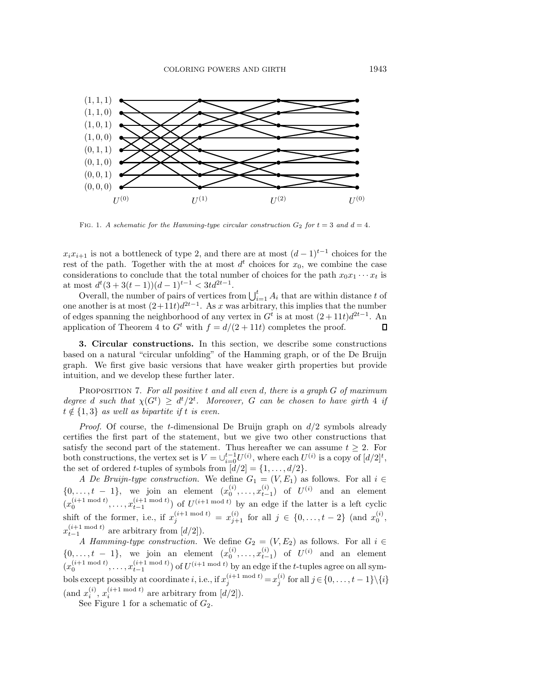<span id="page-5-1"></span>

FIG. 1. A schematic for the Hamming-type circular construction  $G_2$  for  $t = 3$  and  $d = 4$ .

 $x_i x_{i+1}$  is not a bottleneck of type 2, and there are at most  $(d-1)^{t-1}$  choices for the rest of the path. Together with the at most  $d^t$  choices for  $x_0$ , we combine the case considerations to conclude that the total number of choices for the path  $x_0x_1 \cdots x_t$  is at most  $d^t(3+3(t-1))(d-1)^{t-1} < 3td^{2t-1}$ .

Overall, the number of pairs of vertices from  $\bigcup_{i=1}^{t} A_i$  that are within distance t of one another is at most  $(2+11t)d^{2t-1}$ . As x was arbitrary, this implies that the number of edges spanning the neighborhood of any vertex in  $G<sup>t</sup>$  is at most  $(2+11t)d^{2t-1}$ . An application of Theorem [4](#page-2-2) to  $G^t$  with  $f = d/(2 + 11t)$  completes the proof.  $\Box$ 

<span id="page-5-0"></span>**3. Circular constructions.** In this section, we describe some constructions based on a natural "circular unfolding" of the Hamming graph, or of the De Bruijn graph. We first give basic versions that have weaker girth properties but provide intuition, and we develop these further later.

Proposition 7. *For all positive* t *and all even* d*, there is a graph* G *of maximum degree d* such that  $\chi(G^t) \geq d^t/2^t$ . Moreover, G can be chosen to have girth 4 *if*  $t \notin \{1, 3\}$  *as well as bipartite if* t *is even.* 

*Proof.* Of course, the *t*-dimensional De Bruijn graph on  $d/2$  symbols already certifies the first part of the statement, but we give two other constructions that satisfy the second part of the statement. Thus hereafter we can assume  $t \geq 2$ . For both constructions, the vertex set is  $V = \bigcup_{i=0}^{t-1} U^{(i)}$ , where each  $U^{(i)}$  is a copy of  $\left[ d/2 \right]^t$ , the set of ordered *t*-tuples of symbols from  $\lfloor d/2 \rfloor = \{1, \ldots, d/2\}.$ 

*A De Bruijn-type construction.* We define  $G_1 = (V, E_1)$  as follows. For all  $i \in$  $\{0, \ldots, t-1\}$ , we join an element  $(x_0^{(i)}, \ldots, x_{t-1}^{(i)})$  of  $U^{(i)}$  and an element  $(x_0^{(i+1 \mod t)}, \ldots, x_{t-1}^{(i+1 \mod t)})$  of  $U^{(i+1 \mod t)}$  by an edge if the latter is a left cyclic shift of the former, i.e., if  $x_j^{(i+1 \mod t)} = x_{j+1}^{(i)}$  for all  $j \in \{0, \ldots, t-2\}$  (and  $x_0^{(i)}$ ,  $x_{t-1}^{(i+1 \mod t)}$  are arbitrary from  $[d/2])$ .

*A Hamming-type construction.* We define  $G_2 = (V, E_2)$  as follows. For all  $i \in$  $\{0, \ldots, t-1\}$ , we join an element  $(x_0^{(i)}, \ldots, x_{t-1}^{(i)})$  of  $U^{(i)}$  and an element  $(x_0^{(i+1 \mod t)}, \ldots, x_{t-1}^{(i+1 \mod t)})$  of  $U^{(i+1 \mod t)}$  by an edge if the t-tuples agree on all symbols except possibly at coordinate  $i,$  i.e., if  $x_j^{(i+1 \bmod t)} = x_j^{(i)}$  for all  $j \in \{0, \ldots, t-1\} \setminus \{i\}$ (and  $x_i^{(i)}$ ,  $x_i^{(i+1 \mod t)}$  are arbitrary from  $[d/2]$ ).

See Figure [1](#page-5-1) for a schematic of  $G_2$ .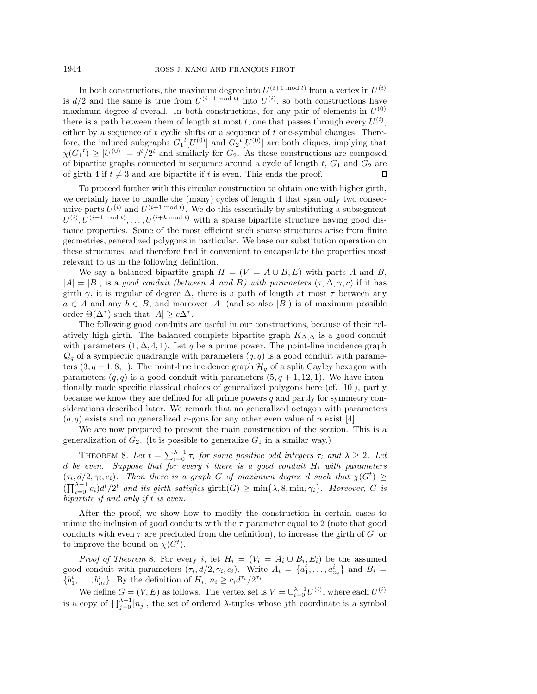In both constructions, the maximum degree into  $U^{(i+1 \bmod t)}$  from a vertex in  $U^{(i)}$ is  $d/2$  and the same is true from  $U^{(i+1 \mod t)}$  into  $U^{(i)}$ , so both constructions have maximum degree d overall. In both constructions, for any pair of elements in  $U^{(0)}$ there is a path between them of length at most t, one that passes through every  $U^{(i)}$ , either by a sequence of  $t$  cyclic shifts or a sequence of  $t$  one-symbol changes. Therefore, the induced subgraphs  $G_1^{\ t}[U^{(0)}]$  and  $G_2^{\ t}[U^{(0)}]$  are both cliques, implying that  $\chi(G_1^t) \geq |U^{(0)}| = d^t/2^t$  and similarly for  $G_2$ . As these constructions are composed of bipartite graphs connected in sequence around a cycle of length  $t$ ,  $G_1$  and  $G_2$  are of girth 4 if  $t \neq 3$  and are bipartite if t is even. This ends the proof. П

To proceed further with this circular construction to obtain one with higher girth, we certainly have to handle the (many) cycles of length 4 that span only two consecutive parts  $U^{(i)}$  and  $U^{(i+1 \mod t)}$ . We do this essentially by substituting a subsegment  $U^{(i)}, U^{(i+1 \mod t)}, \ldots, U^{(i+k \mod t)}$  with a sparse bipartite structure having good distance properties. Some of the most efficient such sparse structures arise from finite geometries, generalized polygons in particular. We base our substitution operation on these structures, and therefore find it convenient to encapsulate the properties most relevant to us in the following definition.

We say a balanced bipartite graph  $H = (V = A \cup B, E)$  with parts A and B,  $|A| = |B|$ , is a *good conduit (between* A *and* B) with parameters  $(\tau, \Delta, \gamma, c)$  if it has girth  $\gamma$ , it is regular of degree  $\Delta$ , there is a path of length at most  $\tau$  between any  $a \in A$  and any  $b \in B$ , and moreover |A| (and so also |B|) is of maximum possible order  $\Theta(\Delta^{\tau})$  such that  $|A| \geq c\Delta^{\tau}$ .

The following good conduits are useful in our constructions, because of their relatively high girth. The balanced complete bipartite graph  $K_{\Delta,\Delta}$  is a good conduit with parameters  $(1, \Delta, 4, 1)$ . Let q be a prime power. The point-line incidence graph  $\mathcal{Q}_q$  of a symplectic quadrangle with parameters  $(q, q)$  is a good conduit with parameters  $(3, q+1, 8, 1)$ . The point-line incidence graph  $\mathcal{H}_q$  of a split Cayley hexagon with parameters  $(q, q)$  is a good conduit with parameters  $(5, q + 1, 12, 1)$ . We have intentionally made specific classical choices of generalized polygons here (cf. [\[10\]](#page-11-8)), partly because we know they are defined for all prime powers  $q$  and partly for symmetry considerations described later. We remark that no generalized octagon with parameters  $(q, q)$  exists and no generalized *n*-gons for any other even value of *n* exist [\[4\]](#page-11-9).

<span id="page-6-0"></span>We are now prepared to present the main construction of the section. This is a generalization of  $G_2$ . (It is possible to generalize  $G_1$  in a similar way.)

THEOREM 8. Let  $t = \sum_{i=0}^{\lambda-1} \tau_i$  for some positive odd integers  $\tau_i$  and  $\lambda \geq 2$ . Let d *be even. Suppose that for every* i *there is a good conduit* H<sup>i</sup> *with parameters*  $(\tau_i, d/2, \gamma_i, c_i)$ . Then there is a graph G of maximum degree d such that  $\chi(G^t) \geq$  $(\prod_{i=0}^{\lambda-1} c_i) d^t/2^t$  *and its girth satisfies* girth $(G) \ge \min\{\lambda, 8, \min_i \gamma_i\}$ *. Moreover, G is bipartite if and only if* t *is even.*

After the proof, we show how to modify the construction in certain cases to mimic the inclusion of good conduits with the  $\tau$  parameter equal to 2 (note that good conduits with even  $\tau$  are precluded from the definition), to increase the girth of  $G$ , or to improve the bound on  $\chi(G^t)$ .

*Proof of Theorem* [8](#page-6-0)*.* For every i, let  $H_i = (V_i = A_i \cup B_i, E_i)$  be the assumed good conduit with parameters  $(\tau_i, d/2, \gamma_i, c_i)$ . Write  $A_i = \{a_1^i, \ldots, a_{n_i}^i\}$  and  $B_i =$  $\{b_1^i, \ldots, b_{n_i}^i\}$ . By the definition of  $H_i$ ,  $n_i \geq c_i d^{\tau_i}/2^{\tau_i}$ .

We define  $G = (V, E)$  as follows. The vertex set is  $V = \bigcup_{i=0}^{\lambda-1} U^{(i)}$ , where each  $U^{(i)}$ is a copy of  $\prod_{j=0}^{\lambda-1} [n_j]$ , the set of ordered  $\lambda$ -tuples whose jth coordinate is a symbol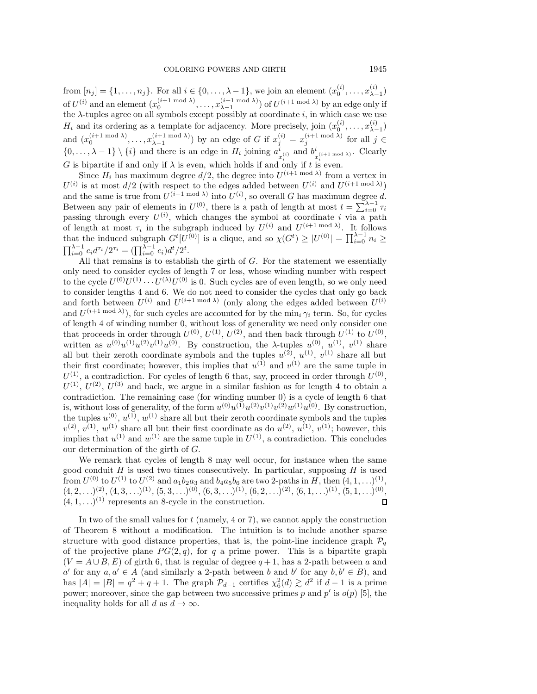from  $[n_j] = \{1, ..., n_j\}$ . For all  $i \in \{0, ..., \lambda - 1\}$ , we join an element  $(x_0^{(i)}, ..., x_{\lambda-1}^{(i)})$ of  $U^{(i)}$  and an element  $(x_0^{(i+1 \mod \lambda)}, \ldots, x_{\lambda-1}^{(i+1 \mod \lambda)})$  of  $U^{(i+1 \mod \lambda)}$  by an edge only if the  $\lambda$ -tuples agree on all symbols except possibly at coordinate i, in which case we use  $H_i$  and its ordering as a template for adjacency. More precisely, join  $(x_0^{(i)},...,x_{\lambda-1}^{(i)})$ and  $(x_0^{(i+1 \mod \lambda)}, \ldots, x_{\lambda-1}^{(i+1 \mod \lambda)})$  by an edge of G if  $x_j^{(i)} = x_j^{(i+1 \mod \lambda)}$  for all  $j \in$  $\{0,\ldots,\lambda-1\}\setminus\{i\}$  and there is an edge in  $H_i$  joining  $a_{x_i^{(i)}}^i$  and  $b_{x_i^{(i+1 \bmod \lambda)}}^i$ . Clearly G is bipartite if and only if  $\lambda$  is even, which holds if and only if t is even.

Since  $H_i$  has maximum degree  $d/2$ , the degree into  $U^{(i+1 \mod \lambda)}$  from a vertex in  $U^{(i)}$  is at most  $d/2$  (with respect to the edges added between  $U^{(i)}$  and  $U^{(i+1 \mod \lambda)}$ ) and the same is true from  $U^{(i+1 \mod \lambda)}$  into  $U^{(i)}$ , so overall G has maximum degree d. Between any pair of elements in  $U^{(0)}$ , there is a path of length at most  $t = \sum_{i=0}^{N-1} \tau_i$ passing through every  $U^{(i)}$ , which changes the symbol at coordinate i via a path of length at most  $\tau_i$  in the subgraph induced by  $U^{(i)}$  and  $U^{(i+1 \mod \lambda)}$ . It follows that the induced subgraph  $G^t[U^{(0)}]$  is a clique, and so  $\chi(G^t) \geq |U^{(0)}| = \prod_{i=0}^{\lambda-1} n_i \geq$  $\prod_{i=0}^{\lambda-1} c_i d^{\tau_i} / 2^{\tau_i} = (\prod_{i=0}^{\lambda-1} c_i) d^t / 2^t.$ 

All that remains is to establish the girth of  $G$ . For the statement we essentially only need to consider cycles of length 7 or less, whose winding number with respect to the cycle  $U^{(0)}U^{(1)}\cdots U^{(\lambda)}U^{(0)}$  is 0. Such cycles are of even length, so we only need to consider lengths 4 and 6. We do not need to consider the cycles that only go back and forth between  $U^{(i)}$  and  $U^{(i+1 \mod \lambda)}$  (only along the edges added between  $U^{(i)}$ ) and  $U^{(i+1 \mod \lambda)}$ , for such cycles are accounted for by the min<sub>i</sub>  $\gamma_i$  term. So, for cycles of length 4 of winding number 0, without loss of generality we need only consider one that proceeds in order through  $U^{(0)}$ ,  $U^{(1)}$ ,  $U^{(2)}$ , and then back through  $U^{(1)}$  to  $U^{(0)}$ , written as  $u^{(0)}u^{(1)}u^{(2)}v^{(1)}u^{(0)}$ . By construction, the  $\lambda$ -tuples  $u^{(0)}$ ,  $u^{(1)}$ ,  $v^{(1)}$  share all but their zeroth coordinate symbols and the tuples  $u^{(2)}$ ,  $u^{(1)}$ ,  $v^{(1)}$  share all but their first coordinate; however, this implies that  $u^{(1)}$  and  $v^{(1)}$  are the same tuple in  $U^{(1)}$ , a contradiction. For cycles of length 6 that, say, proceed in order through  $U^{(0)}$ ,  $U^{(1)}$ ,  $U^{(2)}$ ,  $U^{(3)}$  and back, we argue in a similar fashion as for length 4 to obtain a contradiction. The remaining case (for winding number 0) is a cycle of length 6 that is, without loss of generality, of the form  $u^{(0)}u^{(1)}u^{(2)}v^{(1)}v^{(2)}w^{(1)}u^{(0)}$ . By construction, the tuples  $u^{(0)}$ ,  $u^{(1)}$ ,  $w^{(1)}$  share all but their zeroth coordinate symbols and the tuples  $v^{(2)}$ ,  $v^{(1)}$ ,  $w^{(1)}$  share all but their first coordinate as do  $u^{(2)}$ ,  $u^{(1)}$ ,  $v^{(1)}$ ; however, this implies that  $u^{(1)}$  and  $w^{(1)}$  are the same tuple in  $U^{(1)}$ , a contradiction. This concludes our determination of the girth of G.

We remark that cycles of length 8 may well occur, for instance when the same good conduit  $H$  is used two times consecutively. In particular, supposing  $H$  is used from  $U^{(0)}$  to  $U^{(1)}$  to  $U^{(2)}$  and  $a_1b_2a_3$  and  $b_4a_5b_6$  are two 2-paths in H, then  $(4, 1, \ldots)^{(1)}$ ,  $(4, 2, \ldots)^{(2)}$ ,  $(4, 3, \ldots)^{(1)}$ ,  $(5, 3, \ldots)^{(0)}$ ,  $(6, 3, \ldots)^{(1)}$ ,  $(6, 2, \ldots)^{(2)}$ ,  $(6, 1, \ldots)^{(1)}$ ,  $(5, 1, \ldots)^{(0)}$ ,  $(4, 1, \ldots)^{(1)}$  represents an 8-cycle in the construction.  $\mathsf{\Pi}$ 

In two of the small values for  $t$  (namely, 4 or 7), we cannot apply the construction of Theorem [8](#page-6-0) without a modification. The intuition is to include another sparse structure with good distance properties, that is, the point-line incidence graph  $\mathcal{P}_q$ of the projective plane  $PG(2,q)$ , for q a prime power. This is a bipartite graph  $(V = A \cup B, E)$  of girth 6, that is regular of degree  $q + 1$ , has a 2-path between a and a' for any  $a, a' \in A$  (and similarly a 2-path between b and b' for any  $b, b' \in B$ ), and has  $|A| = |B| = q^2 + q + 1$ . The graph  $\mathcal{P}_{d-1}$  certifies  $\chi_6^2(d) \gtrsim d^2$  if  $d-1$  is a prime power; moreover, since the gap between two successive primes p and p' is  $o(p)$  [\[5\]](#page-11-10), the inequality holds for all d as  $d \to \infty$ .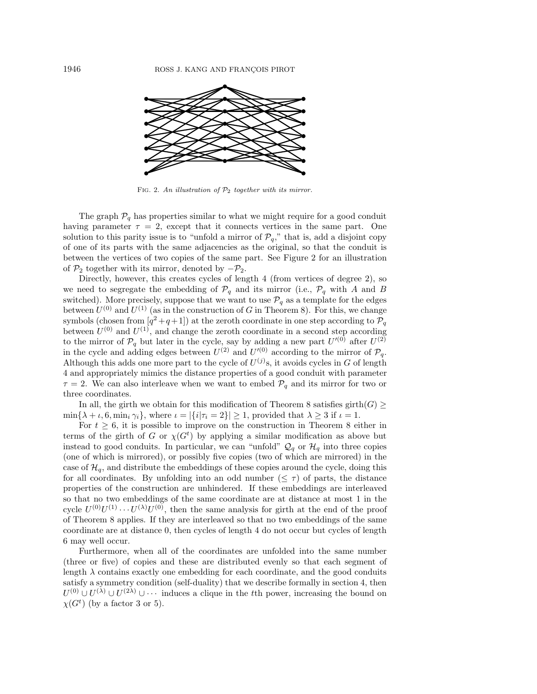<span id="page-8-0"></span>

FIG. 2. An illustration of  $\mathcal{P}_2$  together with its mirror.

The graph  $P_q$  has properties similar to what we might require for a good conduit having parameter  $\tau = 2$ , except that it connects vertices in the same part. One solution to this parity issue is to "unfold a mirror of  $\mathcal{P}_q$ ," that is, add a disjoint copy of one of its parts with the same adjacencies as the original, so that the conduit is between the vertices of two copies of the same part. See Figure [2](#page-8-0) for an illustration of  $\mathcal{P}_2$  together with its mirror, denoted by  $-\mathcal{P}_2$ .

Directly, however, this creates cycles of length 4 (from vertices of degree 2), so we need to segregate the embedding of  $\mathcal{P}_q$  and its mirror (i.e.,  $\mathcal{P}_q$  with A and B switched). More precisely, suppose that we want to use  $\mathcal{P}_q$  as a template for the edges between  $U^{(0)}$  and  $U^{(1)}$  (as in the construction of G in Theorem [8\)](#page-6-0). For this, we change symbols (chosen from  $[q^2+q+1]$ ) at the zeroth coordinate in one step according to  $\mathcal{P}_q$ between  $U^{(0)}$  and  $U^{(1)}$ , and change the zeroth coordinate in a second step according to the mirror of  $\mathcal{P}_q$  but later in the cycle, say by adding a new part  $U^{(0)}$  after  $U^{(2)}$ in the cycle and adding edges between  $U^{(2)}$  and  $U^{(0)}$  according to the mirror of  $\mathcal{P}_q$ . Although this adds one more part to the cycle of  $U^{(j)}$ s, it avoids cycles in G of length 4 and appropriately mimics the distance properties of a good conduit with parameter  $\tau = 2$ . We can also interleave when we want to embed  $\mathcal{P}_q$  and its mirror for two or three coordinates.

In all, the girth we obtain for this modification of Theorem [8](#page-6-0) satisfies girth $(G) \ge$  $\min\{\lambda + \iota, 6, \min_i \gamma_i\},\$  where  $\iota = |\{i|\tau_i = 2\}| \geq 1$ , provided that  $\lambda \geq 3$  if  $\iota = 1$ .

For  $t \geq 6$ , it is possible to improve on the construction in Theorem [8](#page-6-0) either in terms of the girth of G or  $\chi(G^t)$  by applying a similar modification as above but instead to good conduits. In particular, we can "unfold"  $\mathcal{Q}_q$  or  $\mathcal{H}_q$  into three copies (one of which is mirrored), or possibly five copies (two of which are mirrored) in the case of  $\mathcal{H}_q$ , and distribute the embeddings of these copies around the cycle, doing this for all coordinates. By unfolding into an odd number  $(\leq \tau)$  of parts, the distance properties of the construction are unhindered. If these embeddings are interleaved so that no two embeddings of the same coordinate are at distance at most 1 in the cycle  $U^{(0)}U^{(1)} \cdots U^{(\lambda)}U^{(0)}$ , then the same analysis for girth at the end of the proof of Theorem [8](#page-6-0) applies. If they are interleaved so that no two embeddings of the same coordinate are at distance 0, then cycles of length 4 do not occur but cycles of length 6 may well occur.

Furthermore, when all of the coordinates are unfolded into the same number (three or five) of copies and these are distributed evenly so that each segment of length  $\lambda$  contains exactly one embedding for each coordinate, and the good conduits satisfy a symmetry condition (self-duality) that we describe formally in section [4,](#page-9-0) then  $U^{(0)} \cup U^{(\lambda)} \cup U^{(2\lambda)} \cup \cdots$  induces a clique in the tth power, increasing the bound on  $\chi(G^t)$  (by a factor 3 or 5).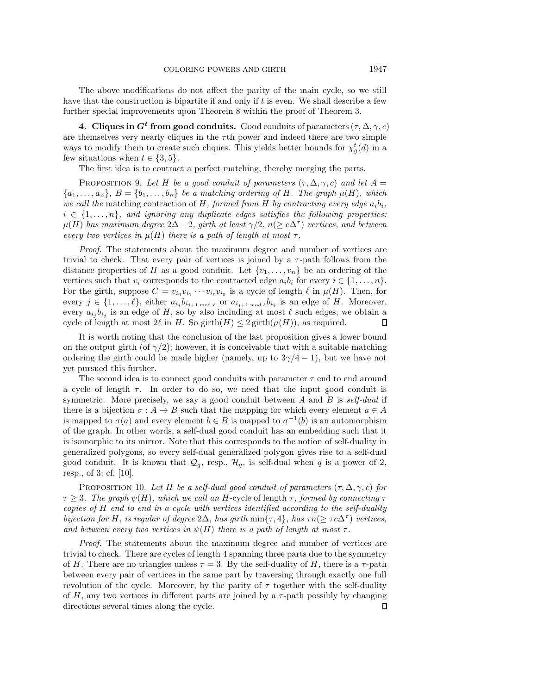The above modifications do not affect the parity of the main cycle, so we still have that the construction is bipartite if and only if t is even. We shall describe a few further special improvements upon Theorem [8](#page-6-0) within the proof of Theorem [3.](#page-2-3)

<span id="page-9-0"></span>**4. Cliques in**  $G^t$  **from good conduits.** Good conduits of parameters  $(\tau, \Delta, \gamma, c)$ are themselves very nearly cliques in the  $\tau$ th power and indeed there are two simple ways to modify them to create such cliques. This yields better bounds for  $\chi^t_g(d)$  in a few situations when  $t \in \{3, 5\}.$ 

The first idea is to contract a perfect matching, thereby merging the parts.

PROPOSITION 9. Let H be a good conduit of parameters  $(\tau, \Delta, \gamma, c)$  and let  $A =$  $\{a_1,\ldots,a_n\},\ B=\{b_1,\ldots,b_n\}$  *be a matching ordering of H. The graph*  $\mu(H)$ *, which we call the* matching contraction of H, formed from H by contracting every edge  $a_i b_i$ ,  $i \in \{1, \ldots, n\}$ , and ignoring any duplicate edges satisfies the following properties:  $\mu(H)$  has maximum degree  $2\Delta - 2$ , girth at least  $\gamma/2$ ,  $n(\geq c\Delta^{\tau})$  vertices, and between *every two vertices in*  $\mu(H)$  *there is a path of length at most*  $\tau$ *.* 

*Proof.* The statements about the maximum degree and number of vertices are trivial to check. That every pair of vertices is joined by a  $\tau$ -path follows from the distance properties of H as a good conduit. Let  $\{v_1,\ldots,v_n\}$  be an ordering of the vertices such that  $v_i$  corresponds to the contracted edge  $a_ib_i$  for every  $i \in \{1,\ldots,n\}$ . For the girth, suppose  $C = v_{i_0}v_{i_1}\cdots v_{i_\ell}v_{i_0}$  is a cycle of length  $\ell$  in  $\mu(H)$ . Then, for every  $j \in \{1,\ldots,\ell\}$ , either  $a_{i_j}b_{i_{j+1 \bmod \ell}}$  or  $a_{i_{j+1 \bmod \ell}}b_{i_j}$  is an edge of H. Moreover, every  $a_{i_j}b_{i_j}$  is an edge of H, so by also including at most  $\ell$  such edges, we obtain a cycle of length at most  $2\ell$  in H. So girth $(H) \leq 2$  girth $(\mu(H))$ , as required.  $\Box$ 

It is worth noting that the conclusion of the last proposition gives a lower bound on the output girth (of  $\gamma/2$ ); however, it is conceivable that with a suitable matching ordering the girth could be made higher (namely, up to  $3\gamma/4 - 1$ ), but we have not yet pursued this further.

The second idea is to connect good conduits with parameter  $\tau$  end to end around a cycle of length  $\tau$ . In order to do so, we need that the input good conduit is symmetric. More precisely, we say a good conduit between A and B is *self-dual* if there is a bijection  $\sigma : A \to B$  such that the mapping for which every element  $a \in A$ is mapped to  $\sigma(a)$  and every element  $b \in B$  is mapped to  $\sigma^{-1}(b)$  is an automorphism of the graph. In other words, a self-dual good conduit has an embedding such that it is isomorphic to its mirror. Note that this corresponds to the notion of self-duality in generalized polygons, so every self-dual generalized polygon gives rise to a self-dual good conduit. It is known that  $\mathcal{Q}_q$ , resp.,  $\mathcal{H}_q$ , is self-dual when q is a power of 2, resp., of 3; cf. [\[10\]](#page-11-8).

PROPOSITION 10. Let H be a self-dual good conduit of parameters  $(\tau, \Delta, \gamma, c)$  for  $\tau \geq 3$ *. The graph*  $\psi(H)$ *, which we call an* H-cycle of length  $\tau$ *, formed by connecting*  $\tau$ *copies of* H *end to end in a cycle with vertices identified according to the self-duality bijection for* H, is regular of degree  $2\Delta$ , has girth min{ $\tau$ , 4}, has  $\tau n(\geq \tau c\Delta^{\tau})$  vertices, *and between every two vertices in*  $\psi(H)$  *there is a path of length at most*  $\tau$ *.* 

*Proof.* The statements about the maximum degree and number of vertices are trivial to check. There are cycles of length 4 spanning three parts due to the symmetry of H. There are no triangles unless  $\tau = 3$ . By the self-duality of H, there is a  $\tau$ -path between every pair of vertices in the same part by traversing through exactly one full revolution of the cycle. Moreover, by the parity of  $\tau$  together with the self-duality of H, any two vertices in different parts are joined by a  $\tau$ -path possibly by changing  $\Box$ directions several times along the cycle.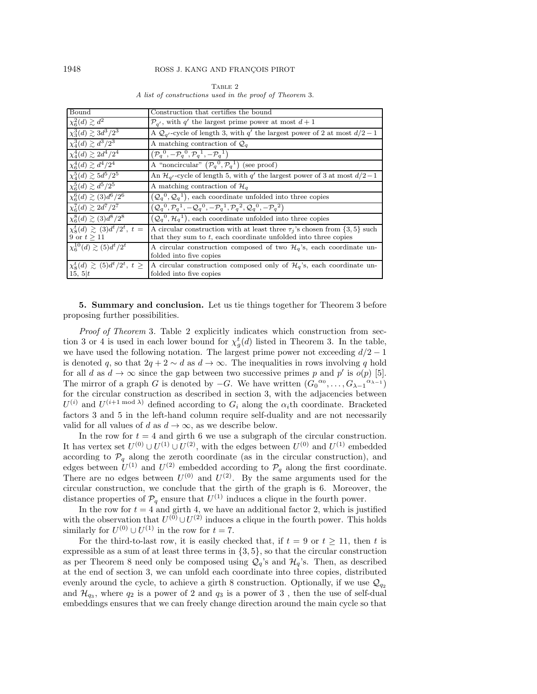<span id="page-10-0"></span>

| Bound                                     | Construction that certifies the bound                                                                    |  |  |  |  |
|-------------------------------------------|----------------------------------------------------------------------------------------------------------|--|--|--|--|
| $\chi^2_6(d) \gtrsim d^2$                 | $\mathcal{P}_{q'}$ , with q' the largest prime power at most $d+1$                                       |  |  |  |  |
| $\chi_3^3(d) \gtrsim 3d^3/2^3$            | A $\mathcal{Q}_{q'}$ -cycle of length 3, with q' the largest power of 2 at most $d/2 - 1$                |  |  |  |  |
| $\chi_4^3(d) \gtrsim d^3/2^3$             | A matching contraction of $\mathcal{Q}_q$                                                                |  |  |  |  |
| $\chi_4^4(d) \gtrsim 2d^4/2^4$            | $(\mathcal{P}_a^0, -\mathcal{P}_a^0, \mathcal{P}_a^1, -\mathcal{P}_a^1)$                                 |  |  |  |  |
| $\chi_6^4(d) \gtrsim d^4/2^4$             | A "noncircular" $(\mathcal{P}_q^0, \mathcal{P}_q^1)$ (see proof)                                         |  |  |  |  |
| $\chi_4^5(d) \gtrsim 5d^5/2^5$            | An $\mathcal{H}_{q'}$ -cycle of length 5, with $q'$ the largest power of 3 at most $d/2-1$               |  |  |  |  |
| $\chi_6^5(d) \gtrsim d^5/2^5$             | A matching contraction of $\mathcal{H}_a$                                                                |  |  |  |  |
| $\chi_{6}^{6}(d) \gtrsim (3)d^{6}/2^{6}$  | $(Q_q^0, Q_q^1)$ , each coordinate unfolded into three copies                                            |  |  |  |  |
| $\chi_6^7(d) \gtrsim 2d^7/2^7$            | $(Q_q^0, \mathcal{P}_q^1, -Q_q^0, -\mathcal{P}_q^1, \mathcal{P}_q^2, \mathcal{Q}_q^0, -\mathcal{P}_q^2)$ |  |  |  |  |
| $\chi_6^8(d) \gtrsim (3)d^8/2^8$          | $(Q_q^0, \mathcal{H}_q^1)$ , each coordinate unfolded into three copies                                  |  |  |  |  |
| $\chi^t_s(d) \gtrsim (3)d^t/2^t, t =$     | A circular construction with at least three $\tau_j$ 's chosen from $\{3, 5\}$ such                      |  |  |  |  |
| 9 or $t > 11$                             | that they sum to $t$ , each coordinate unfolded into three copies                                        |  |  |  |  |
| $\chi_{6}^{10}(d) \gtrsim (5)d^{t}/2^{t}$ | A circular construction composed of two $\mathcal{H}_q$ 's, each coordinate un-                          |  |  |  |  |
|                                           | folded into five copies                                                                                  |  |  |  |  |
| $\chi^t_8(d) \gtrsim (5)d^t/2^t, t \ge$   | A circular construction composed only of $\mathcal{H}_q$ 's, each coordinate un-                         |  |  |  |  |
| 15, 5 t                                   | folded into five copies                                                                                  |  |  |  |  |

TABLE 2 A list of constructions used in the proof of Theorem [3.](#page-2-3)

**5. Summary and conclusion.** Let us tie things together for Theorem [3](#page-2-3) before proposing further possibilities.

*Proof of Theorem* [3](#page-2-3)*.* Table [2](#page-10-0) explicitly indicates which construction from sec-tion [3](#page-5-0) or [4](#page-9-0) is used in each lower bound for  $\chi^t_g(d)$  listed in Theorem [3.](#page-2-3) In the table, we have used the following notation. The largest prime power not exceeding  $d/2 - 1$ is denoted q, so that  $2q + 2 \sim d$  as  $d \to \infty$ . The inequalities in rows involving q hold for all d as  $d \to \infty$  since the gap between two successive primes p and p' is  $o(p)$  [\[5\]](#page-11-10). The mirror of a graph G is denoted by  $-G$ . We have written  $(G_0^{\alpha_0}, \ldots, G_{\lambda-1}^{\alpha_{\lambda-1}})$ for the circular construction as described in section [3,](#page-5-0) with the adjacencies between  $U^{(i)}$  and  $U^{(i+1 \mod \lambda)}$  defined according to  $G_i$  along the  $\alpha_i$ th coordinate. Bracketed factors 3 and 5 in the left-hand column require self-duality and are not necessarily valid for all values of d as  $d \to \infty$ , as we describe below.

In the row for  $t = 4$  and girth 6 we use a subgraph of the circular construction. It has vertex set  $U^{(0)} \cup U^{(1)} \cup U^{(2)}$ , with the edges between  $U^{(0)}$  and  $U^{(1)}$  embedded according to  $\mathcal{P}_q$  along the zeroth coordinate (as in the circular construction), and edges between  $U^{(1)}$  and  $U^{(2)}$  embedded according to  $\mathcal{P}_q$  along the first coordinate. There are no edges between  $U^{(0)}$  and  $U^{(2)}$ . By the same arguments used for the circular construction, we conclude that the girth of the graph is 6. Moreover, the distance properties of  $\mathcal{P}_q$  ensure that  $U^{(1)}$  induces a clique in the fourth power.

In the row for  $t = 4$  and girth 4, we have an additional factor 2, which is justified with the observation that  $U^{(0)} \cup U^{(2)}$  induces a clique in the fourth power. This holds similarly for  $U^{(0)} \cup U^{(1)}$  in the row for  $t = 7$ .

For the third-to-last row, it is easily checked that, if  $t = 9$  or  $t > 11$ , then t is expressible as a sum of at least three terms in  $\{3, 5\}$ , so that the circular construction as per Theorem [8](#page-6-0) need only be composed using  $\mathcal{Q}_q$ 's and  $\mathcal{H}_q$ 's. Then, as described at the end of section [3,](#page-5-0) we can unfold each coordinate into three copies, distributed evenly around the cycle, to achieve a girth 8 construction. Optionally, if we use  $\mathcal{Q}_{q_2}$ and  $\mathcal{H}_{q_3}$ , where  $q_2$  is a power of 2 and  $q_3$  is a power of 3, then the use of self-dual embeddings ensures that we can freely change direction around the main cycle so that